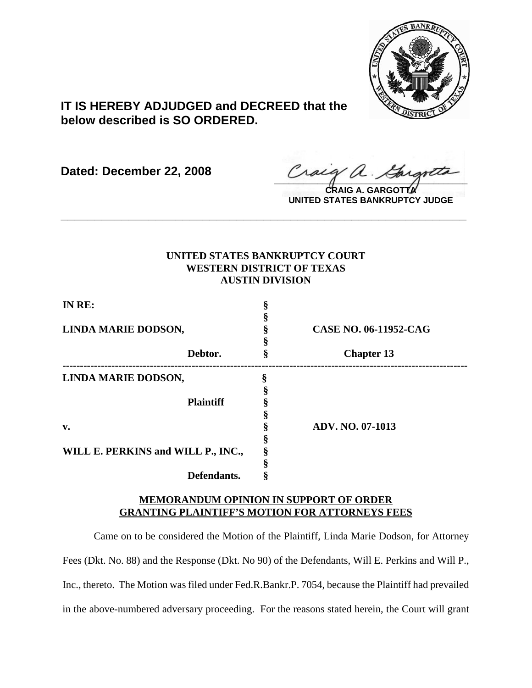

# **IT IS HEREBY ADJUDGED and DECREED that the below described is SO ORDERED.**

**Dated: December 22, 2008**

Craeg a. Gargott

**CRAIG A. GARGOTTA UNITED STATES BANKRUPTCY JUDGE**

# **UNITED STATES BANKRUPTCY COURT WESTERN DISTRICT OF TEXAS AUSTIN DIVISION**

**\_\_\_\_\_\_\_\_\_\_\_\_\_\_\_\_\_\_\_\_\_\_\_\_\_\_\_\_\_\_\_\_\_\_\_\_\_\_\_\_\_\_\_\_\_\_\_\_\_\_\_\_\_\_\_\_\_\_\_\_**

| IN RE:                             |                  |                              |
|------------------------------------|------------------|------------------------------|
|                                    |                  |                              |
| LINDA MARIE DODSON,                |                  | <b>CASE NO. 06-11952-CAG</b> |
|                                    |                  |                              |
|                                    | Debtor.          | <b>Chapter 13</b>            |
| LINDA MARIE DODSON,                |                  |                              |
|                                    |                  |                              |
|                                    | <b>Plaintiff</b> |                              |
|                                    |                  |                              |
| v.                                 |                  | <b>ADV. NO. 07-1013</b>      |
|                                    |                  |                              |
| WILL E. PERKINS and WILL P., INC., |                  |                              |
|                                    |                  |                              |
|                                    | Defendants.      |                              |

# **MEMORANDUM OPINION IN SUPPORT OF ORDER GRANTING PLAINTIFF'S MOTION FOR ATTORNEYS FEES**

Came on to be considered the Motion of the Plaintiff, Linda Marie Dodson, for Attorney Fees (Dkt. No. 88) and the Response (Dkt. No 90) of the Defendants, Will E. Perkins and Will P., Inc., thereto. The Motion was filed under Fed.R.Bankr.P. 7054, because the Plaintiff had prevailed in the above-numbered adversary proceeding. For the reasons stated herein, the Court will grant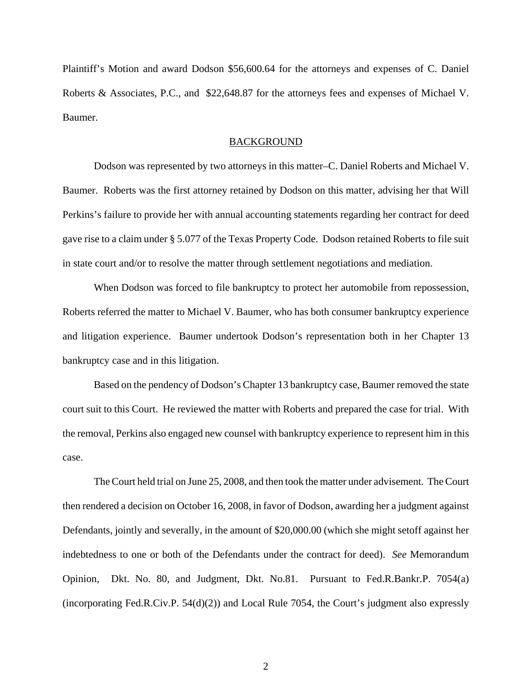Plaintiff's Motion and award Dodson \$56,600.64 for the attorneys and expenses of C. Daniel Roberts & Associates, P.C., and \$22,648.87 for the attorneys fees and expenses of Michael V. Baumer.

### BACKGROUND

Dodson was represented by two attorneys in this matter–C. Daniel Roberts and Michael V. Baumer. Roberts was the first attorney retained by Dodson on this matter, advising her that Will Perkins's failure to provide her with annual accounting statements regarding her contract for deed gave rise to a claim under § 5.077 of the Texas Property Code. Dodson retained Roberts to file suit in state court and/or to resolve the matter through settlement negotiations and mediation.

When Dodson was forced to file bankruptcy to protect her automobile from repossession, Roberts referred the matter to Michael V. Baumer, who has both consumer bankruptcy experience and litigation experience. Baumer undertook Dodson's representation both in her Chapter 13 bankruptcy case and in this litigation.

Based on the pendency of Dodson's Chapter 13 bankruptcy case, Baumer removed the state court suit to this Court. He reviewed the matter with Roberts and prepared the case for trial. With the removal, Perkins also engaged new counsel with bankruptcy experience to represent him in this case.

The Court held trial on June 25, 2008, and then took the matter under advisement. The Court then rendered a decision on October 16, 2008, in favor of Dodson, awarding her a judgment against Defendants, jointly and severally, in the amount of \$20,000.00 (which she might setoff against her indebtedness to one or both of the Defendants under the contract for deed). *See* Memorandum Opinion, Dkt. No. 80, and Judgment, Dkt. No.81. Pursuant to Fed.R.Bankr.P. 7054(a) (incorporating Fed.R.Civ.P. 54(d)(2)) and Local Rule 7054, the Court's judgment also expressly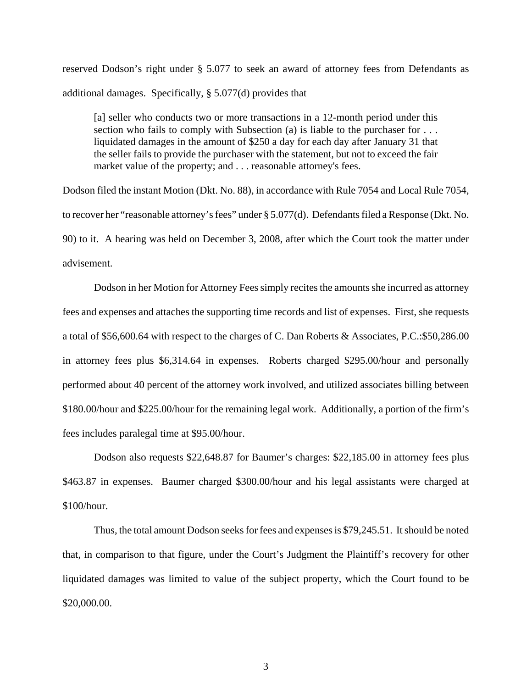reserved Dodson's right under § 5.077 to seek an award of attorney fees from Defendants as additional damages. Specifically, § 5.077(d) provides that

[a] seller who conducts two or more transactions in a 12-month period under this section who fails to comply with Subsection (a) is liable to the purchaser for . . . liquidated damages in the amount of \$250 a day for each day after January 31 that the seller fails to provide the purchaser with the statement, but not to exceed the fair market value of the property; and . . . reasonable attorney's fees.

Dodson filed the instant Motion (Dkt. No. 88), in accordance with Rule 7054 and Local Rule 7054, to recover her "reasonable attorney's fees" under § 5.077(d). Defendants filed a Response (Dkt. No. 90) to it. A hearing was held on December 3, 2008, after which the Court took the matter under advisement.

Dodson in her Motion for Attorney Fees simply recites the amounts she incurred as attorney fees and expenses and attaches the supporting time records and list of expenses. First, she requests a total of \$56,600.64 with respect to the charges of C. Dan Roberts & Associates, P.C.:\$50,286.00 in attorney fees plus \$6,314.64 in expenses. Roberts charged \$295.00/hour and personally performed about 40 percent of the attorney work involved, and utilized associates billing between \$180.00/hour and \$225.00/hour for the remaining legal work. Additionally, a portion of the firm's fees includes paralegal time at \$95.00/hour.

Dodson also requests \$22,648.87 for Baumer's charges: \$22,185.00 in attorney fees plus \$463.87 in expenses. Baumer charged \$300.00/hour and his legal assistants were charged at \$100/hour.

Thus, the total amount Dodson seeks for fees and expenses is \$79,245.51. It should be noted that, in comparison to that figure, under the Court's Judgment the Plaintiff's recovery for other liquidated damages was limited to value of the subject property, which the Court found to be \$20,000.00.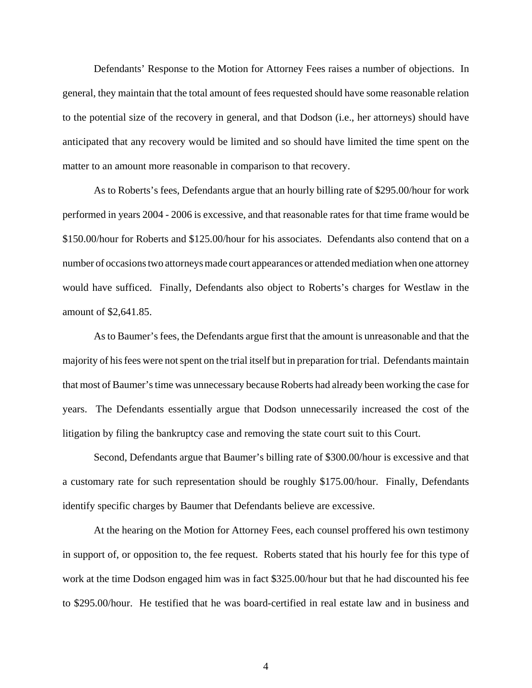Defendants' Response to the Motion for Attorney Fees raises a number of objections. In general, they maintain that the total amount of fees requested should have some reasonable relation to the potential size of the recovery in general, and that Dodson (i.e., her attorneys) should have anticipated that any recovery would be limited and so should have limited the time spent on the matter to an amount more reasonable in comparison to that recovery.

As to Roberts's fees, Defendants argue that an hourly billing rate of \$295.00/hour for work performed in years 2004 - 2006 is excessive, and that reasonable rates for that time frame would be \$150.00/hour for Roberts and \$125.00/hour for his associates. Defendants also contend that on a number of occasions two attorneys made court appearances or attended mediation when one attorney would have sufficed. Finally, Defendants also object to Roberts's charges for Westlaw in the amount of \$2,641.85.

As to Baumer's fees, the Defendants argue first that the amount is unreasonable and that the majority of his fees were not spent on the trial itself but in preparation for trial. Defendants maintain that most of Baumer's time was unnecessary because Roberts had already been working the case for years. The Defendants essentially argue that Dodson unnecessarily increased the cost of the litigation by filing the bankruptcy case and removing the state court suit to this Court.

Second, Defendants argue that Baumer's billing rate of \$300.00/hour is excessive and that a customary rate for such representation should be roughly \$175.00/hour. Finally, Defendants identify specific charges by Baumer that Defendants believe are excessive.

At the hearing on the Motion for Attorney Fees, each counsel proffered his own testimony in support of, or opposition to, the fee request. Roberts stated that his hourly fee for this type of work at the time Dodson engaged him was in fact \$325.00/hour but that he had discounted his fee to \$295.00/hour. He testified that he was board-certified in real estate law and in business and

4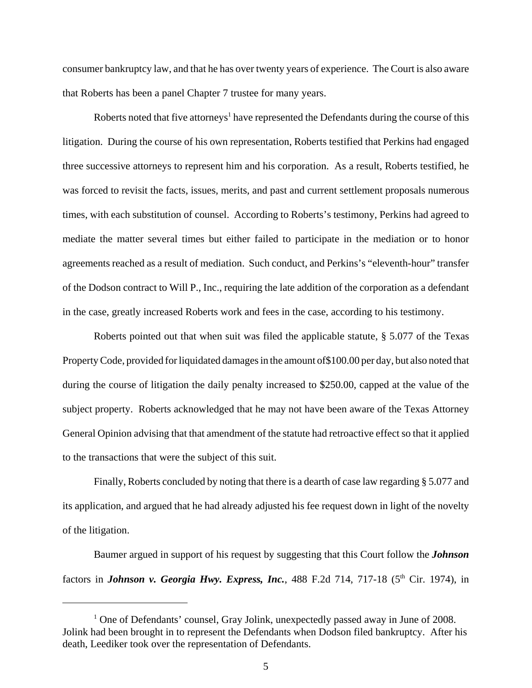consumer bankruptcy law, and that he has over twenty years of experience. The Court is also aware that Roberts has been a panel Chapter 7 trustee for many years.

Roberts noted that five attorneys<sup>1</sup> have represented the Defendants during the course of this litigation. During the course of his own representation, Roberts testified that Perkins had engaged three successive attorneys to represent him and his corporation. As a result, Roberts testified, he was forced to revisit the facts, issues, merits, and past and current settlement proposals numerous times, with each substitution of counsel. According to Roberts's testimony, Perkins had agreed to mediate the matter several times but either failed to participate in the mediation or to honor agreements reached as a result of mediation. Such conduct, and Perkins's "eleventh-hour" transfer of the Dodson contract to Will P., Inc., requiring the late addition of the corporation as a defendant in the case, greatly increased Roberts work and fees in the case, according to his testimony.

Roberts pointed out that when suit was filed the applicable statute, § 5.077 of the Texas Property Code, provided for liquidated damages in the amount of\$100.00 per day, but also noted that during the course of litigation the daily penalty increased to \$250.00, capped at the value of the subject property. Roberts acknowledged that he may not have been aware of the Texas Attorney General Opinion advising that that amendment of the statute had retroactive effect so that it applied to the transactions that were the subject of this suit.

Finally, Roberts concluded by noting that there is a dearth of case law regarding § 5.077 and its application, and argued that he had already adjusted his fee request down in light of the novelty of the litigation.

Baumer argued in support of his request by suggesting that this Court follow the *Johnson* factors in *Johnson v. Georgia Hwy. Express, Inc.*, 488 F.2d 714, 717-18 (5<sup>th</sup> Cir. 1974), in

<sup>&</sup>lt;sup>1</sup> One of Defendants' counsel, Gray Jolink, unexpectedly passed away in June of 2008. Jolink had been brought in to represent the Defendants when Dodson filed bankruptcy. After his death, Leediker took over the representation of Defendants.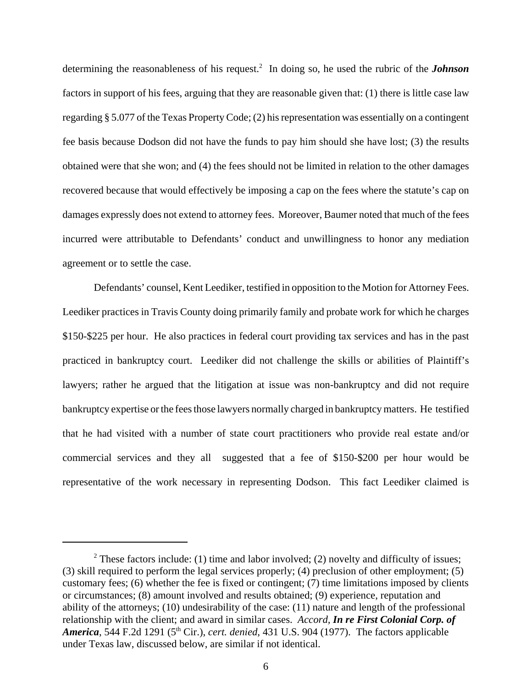determining the reasonableness of his request.2 In doing so, he used the rubric of the *Johnson* factors in support of his fees, arguing that they are reasonable given that: (1) there is little case law regarding § 5.077 of the Texas Property Code; (2) his representation was essentially on a contingent fee basis because Dodson did not have the funds to pay him should she have lost; (3) the results obtained were that she won; and (4) the fees should not be limited in relation to the other damages recovered because that would effectively be imposing a cap on the fees where the statute's cap on damages expressly does not extend to attorney fees. Moreover, Baumer noted that much of the fees incurred were attributable to Defendants' conduct and unwillingness to honor any mediation agreement or to settle the case.

Defendants' counsel, Kent Leediker, testified in opposition to the Motion for Attorney Fees. Leediker practices in Travis County doing primarily family and probate work for which he charges \$150-\$225 per hour. He also practices in federal court providing tax services and has in the past practiced in bankruptcy court. Leediker did not challenge the skills or abilities of Plaintiff's lawyers; rather he argued that the litigation at issue was non-bankruptcy and did not require bankruptcy expertise or the fees those lawyers normally charged in bankruptcy matters. He testified that he had visited with a number of state court practitioners who provide real estate and/or commercial services and they all suggested that a fee of \$150-\$200 per hour would be representative of the work necessary in representing Dodson. This fact Leediker claimed is

<sup>&</sup>lt;sup>2</sup> These factors include: (1) time and labor involved; (2) novelty and difficulty of issues; (3) skill required to perform the legal services properly; (4) preclusion of other employment; (5) customary fees; (6) whether the fee is fixed or contingent; (7) time limitations imposed by clients or circumstances; (8) amount involved and results obtained; (9) experience, reputation and ability of the attorneys; (10) undesirability of the case: (11) nature and length of the professional relationship with the client; and award in similar cases. *Accord, In re First Colonial Corp. of America*, 544 F.2d 1291 (5<sup>th</sup> Cir.), *cert. denied*, 431 U.S. 904 (1977). The factors applicable under Texas law, discussed below, are similar if not identical.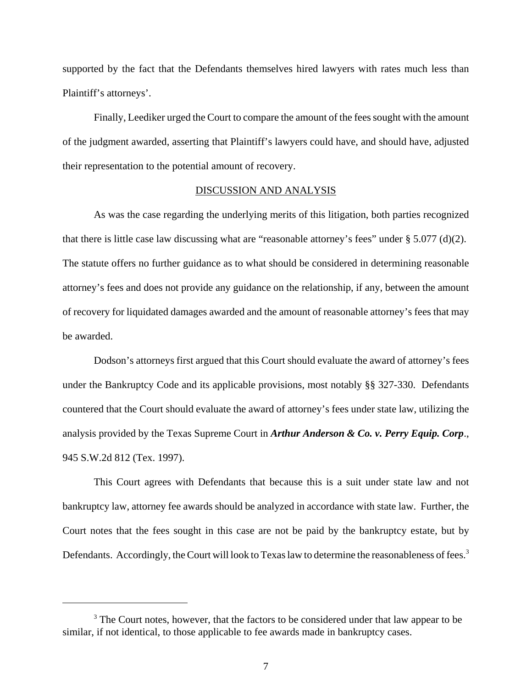supported by the fact that the Defendants themselves hired lawyers with rates much less than Plaintiff's attorneys'.

Finally, Leediker urged the Court to compare the amount of the fees sought with the amount of the judgment awarded, asserting that Plaintiff's lawyers could have, and should have, adjusted their representation to the potential amount of recovery.

# DISCUSSION AND ANALYSIS

As was the case regarding the underlying merits of this litigation, both parties recognized that there is little case law discussing what are "reasonable attorney's fees" under § 5.077 (d)(2). The statute offers no further guidance as to what should be considered in determining reasonable attorney's fees and does not provide any guidance on the relationship, if any, between the amount of recovery for liquidated damages awarded and the amount of reasonable attorney's fees that may be awarded.

Dodson's attorneys first argued that this Court should evaluate the award of attorney's fees under the Bankruptcy Code and its applicable provisions, most notably §§ 327-330. Defendants countered that the Court should evaluate the award of attorney's fees under state law, utilizing the analysis provided by the Texas Supreme Court in *Arthur Anderson & Co. v. Perry Equip. Corp*., 945 S.W.2d 812 (Tex. 1997).

This Court agrees with Defendants that because this is a suit under state law and not bankruptcy law, attorney fee awards should be analyzed in accordance with state law. Further, the Court notes that the fees sought in this case are not be paid by the bankruptcy estate, but by Defendants. Accordingly, the Court will look to Texas law to determine the reasonableness of fees.<sup>3</sup>

<sup>&</sup>lt;sup>3</sup> The Court notes, however, that the factors to be considered under that law appear to be similar, if not identical, to those applicable to fee awards made in bankruptcy cases.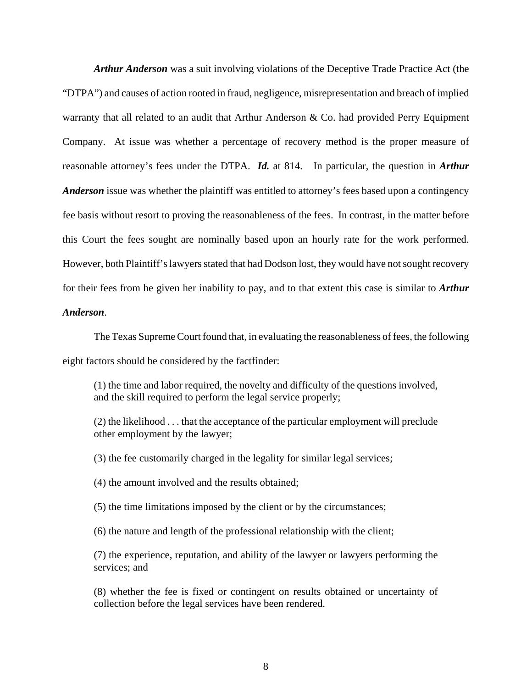*Arthur Anderson* was a suit involving violations of the Deceptive Trade Practice Act (the "DTPA") and causes of action rooted in fraud, negligence, misrepresentation and breach of implied warranty that all related to an audit that Arthur Anderson & Co. had provided Perry Equipment Company. At issue was whether a percentage of recovery method is the proper measure of reasonable attorney's fees under the DTPA. *Id.* at 814. In particular, the question in *Arthur Anderson* issue was whether the plaintiff was entitled to attorney's fees based upon a contingency fee basis without resort to proving the reasonableness of the fees. In contrast, in the matter before this Court the fees sought are nominally based upon an hourly rate for the work performed. However, both Plaintiff's lawyers stated that had Dodson lost, they would have not sought recovery for their fees from he given her inability to pay, and to that extent this case is similar to *Arthur Anderson*.

The Texas Supreme Court found that, in evaluating the reasonableness of fees, the following eight factors should be considered by the factfinder:

(1) the time and labor required, the novelty and difficulty of the questions involved, and the skill required to perform the legal service properly;

(2) the likelihood . . . that the acceptance of the particular employment will preclude other employment by the lawyer;

(3) the fee customarily charged in the legality for similar legal services;

(4) the amount involved and the results obtained;

(5) the time limitations imposed by the client or by the circumstances;

(6) the nature and length of the professional relationship with the client;

(7) the experience, reputation, and ability of the lawyer or lawyers performing the services; and

(8) whether the fee is fixed or contingent on results obtained or uncertainty of collection before the legal services have been rendered.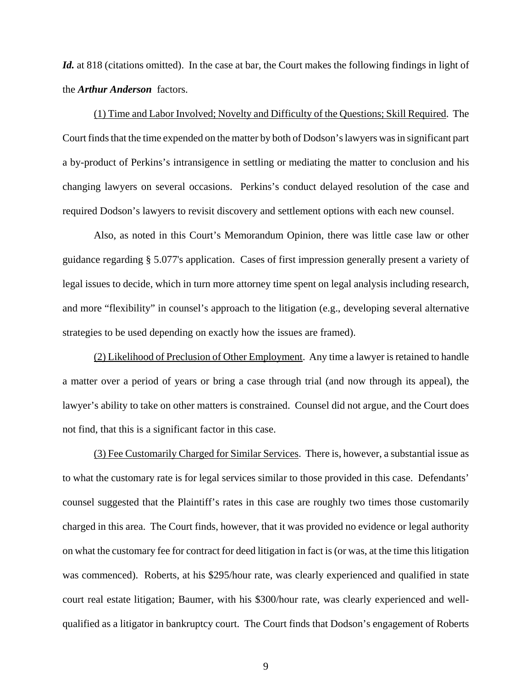Id. at 818 (citations omitted). In the case at bar, the Court makes the following findings in light of the *Arthur Anderson* factors.

(1) Time and Labor Involved; Novelty and Difficulty of the Questions; Skill Required. The Court finds that the time expended on the matter by both of Dodson's lawyers was in significant part a by-product of Perkins's intransigence in settling or mediating the matter to conclusion and his changing lawyers on several occasions. Perkins's conduct delayed resolution of the case and required Dodson's lawyers to revisit discovery and settlement options with each new counsel.

Also, as noted in this Court's Memorandum Opinion, there was little case law or other guidance regarding § 5.077's application. Cases of first impression generally present a variety of legal issues to decide, which in turn more attorney time spent on legal analysis including research, and more "flexibility" in counsel's approach to the litigation (e.g., developing several alternative strategies to be used depending on exactly how the issues are framed).

(2) Likelihood of Preclusion of Other Employment. Any time a lawyer is retained to handle a matter over a period of years or bring a case through trial (and now through its appeal), the lawyer's ability to take on other matters is constrained. Counsel did not argue, and the Court does not find, that this is a significant factor in this case.

(3) Fee Customarily Charged for Similar Services. There is, however, a substantial issue as to what the customary rate is for legal services similar to those provided in this case. Defendants' counsel suggested that the Plaintiff's rates in this case are roughly two times those customarily charged in this area. The Court finds, however, that it was provided no evidence or legal authority on what the customary fee for contract for deed litigation in fact is (or was, at the time this litigation was commenced). Roberts, at his \$295/hour rate, was clearly experienced and qualified in state court real estate litigation; Baumer, with his \$300/hour rate, was clearly experienced and wellqualified as a litigator in bankruptcy court. The Court finds that Dodson's engagement of Roberts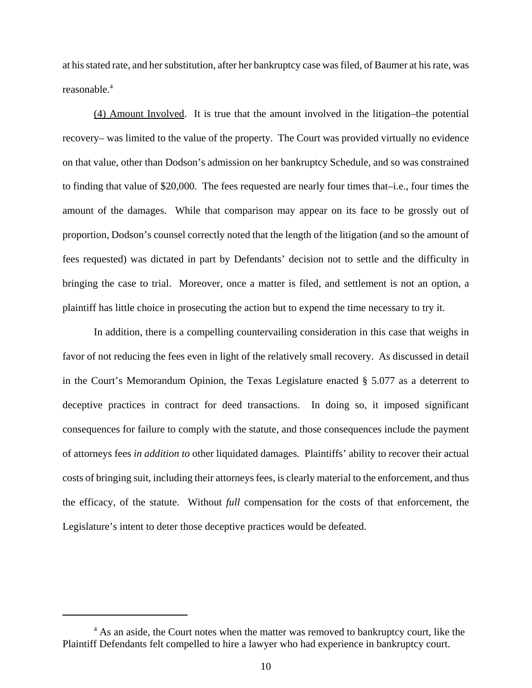at his stated rate, and her substitution, after her bankruptcy case was filed, of Baumer at his rate, was reasonable.4

(4) Amount Involved. It is true that the amount involved in the litigation–the potential recovery– was limited to the value of the property. The Court was provided virtually no evidence on that value, other than Dodson's admission on her bankruptcy Schedule, and so was constrained to finding that value of \$20,000. The fees requested are nearly four times that–i.e., four times the amount of the damages. While that comparison may appear on its face to be grossly out of proportion, Dodson's counsel correctly noted that the length of the litigation (and so the amount of fees requested) was dictated in part by Defendants' decision not to settle and the difficulty in bringing the case to trial. Moreover, once a matter is filed, and settlement is not an option, a plaintiff has little choice in prosecuting the action but to expend the time necessary to try it.

In addition, there is a compelling countervailing consideration in this case that weighs in favor of not reducing the fees even in light of the relatively small recovery. As discussed in detail in the Court's Memorandum Opinion, the Texas Legislature enacted § 5.077 as a deterrent to deceptive practices in contract for deed transactions. In doing so, it imposed significant consequences for failure to comply with the statute, and those consequences include the payment of attorneys fees *in addition to* other liquidated damages. Plaintiffs' ability to recover their actual costs of bringing suit, including their attorneys fees, is clearly material to the enforcement, and thus the efficacy, of the statute. Without *full* compensation for the costs of that enforcement, the Legislature's intent to deter those deceptive practices would be defeated.

<sup>&</sup>lt;sup>4</sup> As an aside, the Court notes when the matter was removed to bankruptcy court, like the Plaintiff Defendants felt compelled to hire a lawyer who had experience in bankruptcy court.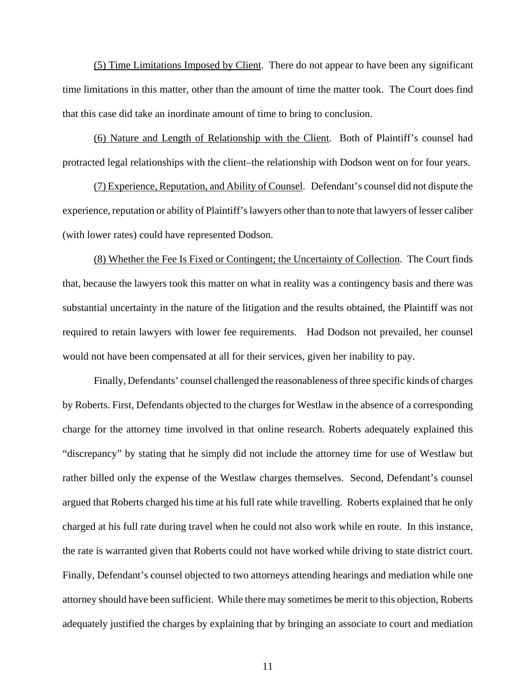(5) Time Limitations Imposed by Client. There do not appear to have been any significant time limitations in this matter, other than the amount of time the matter took. The Court does find that this case did take an inordinate amount of time to bring to conclusion.

(6) Nature and Length of Relationship with the Client. Both of Plaintiff's counsel had protracted legal relationships with the client–the relationship with Dodson went on for four years.

(7) Experience, Reputation, and Ability of Counsel. Defendant's counsel did not dispute the experience, reputation or ability of Plaintiff's lawyers other than to note that lawyers of lesser caliber (with lower rates) could have represented Dodson.

(8) Whether the Fee Is Fixed or Contingent; the Uncertainty of Collection. The Court finds that, because the lawyers took this matter on what in reality was a contingency basis and there was substantial uncertainty in the nature of the litigation and the results obtained, the Plaintiff was not required to retain lawyers with lower fee requirements. Had Dodson not prevailed, her counsel would not have been compensated at all for their services, given her inability to pay.

Finally, Defendants' counsel challenged the reasonableness of three specific kinds of charges by Roberts. First, Defendants objected to the charges for Westlaw in the absence of a corresponding charge for the attorney time involved in that online research. Roberts adequately explained this "discrepancy" by stating that he simply did not include the attorney time for use of Westlaw but rather billed only the expense of the Westlaw charges themselves. Second, Defendant's counsel argued that Roberts charged his time at his full rate while travelling. Roberts explained that he only charged at his full rate during travel when he could not also work while en route. In this instance, the rate is warranted given that Roberts could not have worked while driving to state district court. Finally, Defendant's counsel objected to two attorneys attending hearings and mediation while one attorney should have been sufficient. While there may sometimes be merit to this objection, Roberts adequately justified the charges by explaining that by bringing an associate to court and mediation